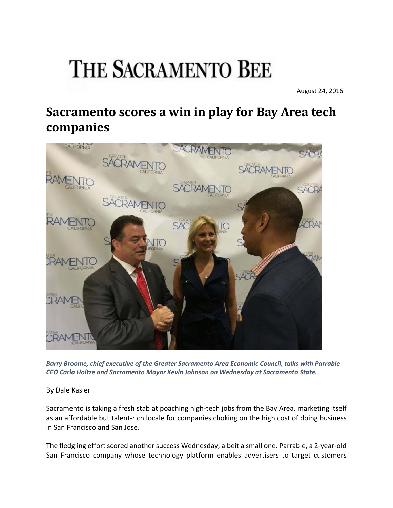## **THE SACRAMENTO BEE**

August 24, 2016

## **Sacramento scores a win in play for Bay Area tech companies**



*Barry Broome, chief executive of the Greater Sacramento Area Economic Council, talks with Parrable CEO Carla Holtze and Sacramento Mayor Kevin Johnson on Wednesday at Sacramento State.*

By Dale Kasler

Sacramento is taking a fresh stab at poaching high‐tech jobs from the Bay Area, marketing itself as an affordable but talent‐rich locale for companies choking on the high cost of doing business in San Francisco and San Jose.

The fledgling effort scored another success Wednesday, albeit a small one. Parrable, a 2‐year‐old San Francisco company whose technology platform enables advertisers to target customers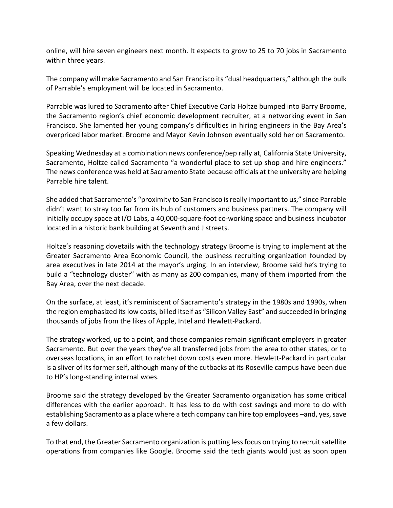online, will hire seven engineers next month. It expects to grow to 25 to 70 jobs in Sacramento within three years.

The company will make Sacramento and San Francisco its "dual headquarters," although the bulk of Parrable's employment will be located in Sacramento.

Parrable was lured to Sacramento after Chief Executive Carla Holtze bumped into Barry Broome, the Sacramento region's chief economic development recruiter, at a networking event in San Francisco. She lamented her young company's difficulties in hiring engineers in the Bay Area's overpriced labor market. Broome and Mayor Kevin Johnson eventually sold her on Sacramento.

Speaking Wednesday at a combination news conference/pep rally at, California State University, Sacramento, Holtze called Sacramento "a wonderful place to set up shop and hire engineers." The news conference was held at Sacramento State because officials at the university are helping Parrable hire talent.

She added that Sacramento's "proximity to San Francisco isreally important to us," since Parrable didn't want to stray too far from its hub of customers and business partners. The company will initially occupy space at I/O Labs, a 40,000‐square‐foot co‐working space and business incubator located in a historic bank building at Seventh and J streets.

Holtze's reasoning dovetails with the technology strategy Broome is trying to implement at the Greater Sacramento Area Economic Council, the business recruiting organization founded by area executives in late 2014 at the mayor's urging. In an interview, Broome said he's trying to build a "technology cluster" with as many as 200 companies, many of them imported from the Bay Area, over the next decade.

On the surface, at least, it's reminiscent of Sacramento's strategy in the 1980s and 1990s, when the region emphasized itslow costs, billed itself as "Silicon Valley East" and succeeded in bringing thousands of jobs from the likes of Apple, Intel and Hewlett‐Packard.

The strategy worked, up to a point, and those companies remain significant employers in greater Sacramento. But over the years they've all transferred jobs from the area to other states, or to overseas locations, in an effort to ratchet down costs even more. Hewlett‐Packard in particular is a sliver of its former self, although many of the cutbacks at its Roseville campus have been due to HP's long‐standing internal woes.

Broome said the strategy developed by the Greater Sacramento organization has some critical differences with the earlier approach. It has less to do with cost savings and more to do with establishing Sacramento as a place where a tech company can hire top employees –and, yes, save a few dollars.

To that end, the Greater Sacramento organization is putting less focus on trying to recruit satellite operations from companies like Google. Broome said the tech giants would just as soon open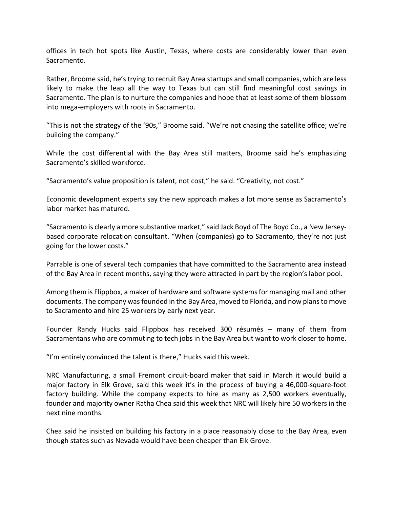offices in tech hot spots like Austin, Texas, where costs are considerably lower than even Sacramento.

Rather, Broome said, he's trying to recruit Bay Area startups and small companies, which are less likely to make the leap all the way to Texas but can still find meaningful cost savings in Sacramento. The plan is to nurture the companies and hope that at least some of them blossom into mega‐employers with roots in Sacramento.

"This is not the strategy of the '90s," Broome said. "We're not chasing the satellite office; we're building the company."

While the cost differential with the Bay Area still matters, Broome said he's emphasizing Sacramento's skilled workforce.

"Sacramento's value proposition is talent, not cost," he said. "Creativity, not cost."

Economic development experts say the new approach makes a lot more sense as Sacramento's labor market has matured.

"Sacramento is clearly a more substantive market," said Jack Boyd of The Boyd Co., a New Jersey‐ based corporate relocation consultant. "When (companies) go to Sacramento, they're not just going for the lower costs."

Parrable is one of several tech companies that have committed to the Sacramento area instead of the Bay Area in recent months, saying they were attracted in part by the region's labor pool.

Among them is Flippbox, a maker of hardware and software systemsfor managing mail and other documents. The company wasfounded in the Bay Area, moved to Florida, and now plansto move to Sacramento and hire 25 workers by early next year.

Founder Randy Hucks said Flippbox has received 300 résumés – many of them from Sacramentans who are commuting to tech jobs in the Bay Area but want to work closer to home.

"I'm entirely convinced the talent is there," Hucks said this week.

NRC Manufacturing, a small Fremont circuit‐board maker that said in March it would build a major factory in Elk Grove, said this week it's in the process of buying a 46,000-square-foot factory building. While the company expects to hire as many as 2,500 workers eventually, founder and majority owner Ratha Chea said this week that NRC will likely hire 50 workers in the next nine months.

Chea said he insisted on building his factory in a place reasonably close to the Bay Area, even though states such as Nevada would have been cheaper than Elk Grove.